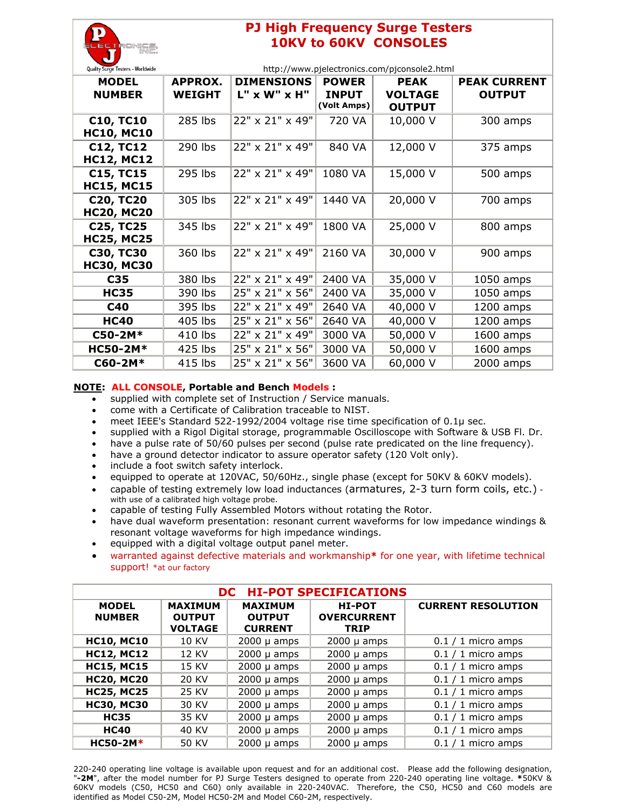| Е<br>ᄐㄷ                             |  |
|-------------------------------------|--|
|                                     |  |
| Curgo Toctore Worldwide<br>Ouglity. |  |

## **PJ High Frequency Surge Testers 10KV to 60KV CONSOLES**

| Quality Surge Testers - Worldwide     | http://www.pjelectronics.com/pjconsole2.html |                                   |                                             |                                                |                                      |
|---------------------------------------|----------------------------------------------|-----------------------------------|---------------------------------------------|------------------------------------------------|--------------------------------------|
| <b>MODEL</b><br><b>NUMBER</b>         | <b>APPROX.</b><br><b>WEIGHT</b>              | <b>DIMENSIONS</b><br>L" x W" x H" | <b>POWER</b><br><b>INPUT</b><br>(Volt Amps) | <b>PEAK</b><br><b>VOLTAGE</b><br><b>OUTPUT</b> | <b>PEAK CURRENT</b><br><b>OUTPUT</b> |
| <b>C10, TC10</b><br><b>HC10, MC10</b> | 285 lbs                                      | 22" x 21" x 49"                   | 720 VA                                      | 10,000 V                                       | 300 amps                             |
| <b>C12, TC12</b><br><b>HC12, MC12</b> | 290 lbs                                      | 22" x 21" x 49"                   | 840 VA                                      | 12,000 V                                       | 375 amps                             |
| <b>C15, TC15</b><br><b>HC15, MC15</b> | 295 lbs                                      | 22" x 21" x 49"                   | 1080 VA                                     | 15,000 V                                       | 500 amps                             |
| <b>C20, TC20</b><br><b>HC20, MC20</b> | 305 lbs                                      | 22" x 21" x 49"                   | 1440 VA                                     | 20,000 V                                       | 700 amps                             |
| <b>C25, TC25</b><br><b>HC25, MC25</b> | 345 lbs                                      | 22" x 21" x 49"                   | 1800 VA                                     | 25,000 V                                       | 800 amps                             |
| <b>C30, TC30</b><br><b>HC30, MC30</b> | 360 lbs                                      | 22" x 21" x 49"                   | 2160 VA                                     | 30,000 V                                       | 900 amps                             |
| C35                                   | 380 lbs                                      | 22" x 21" x 49"                   | 2400 VA                                     | 35,000 V                                       | 1050 amps                            |
| <b>HC35</b>                           | 390 lbs                                      | 25" x 21" x 56"                   | 2400 VA                                     | 35,000 V                                       | 1050 amps                            |
| C40                                   | 395 lbs                                      | 22" x 21" x 49"                   | 2640 VA                                     | 40,000 V                                       | 1200 amps                            |
| <b>HC40</b>                           | 405 lbs                                      | 25" x 21" x 56"                   | 2640 VA                                     | 40,000 V                                       | 1200 amps                            |
| C50-2M*                               | 410 lbs                                      | 22" x 21" x 49"                   | 3000 VA                                     | 50,000 V                                       | 1600 amps                            |
| <b>HC50-2M*</b>                       | 425 lbs                                      | 25" x 21" x 56"                   | 3000 VA                                     | 50,000 V                                       | 1600 amps                            |
| C60-2M*                               | 415 lbs                                      | 25" x 21" x 56"                   | 3600 VA                                     | 60,000 V                                       | 2000 amps                            |

## **NOTE: ALL CONSOLE, Portable and Bench Models :**

- supplied with complete set of Instruction / Service manuals.
- come with a Certificate of Calibration traceable to NIST.
- meet IEEE's Standard 522-1992/2004 voltage rise time specification of 0.1µ sec.
- supplied with a Rigol Digital storage, programmable Oscilloscope with Software & USB Fl. Dr.
- have a pulse rate of 50/60 pulses per second (pulse rate predicated on the line frequency).
- have a ground detector indicator to assure operator safety (120 Volt only).
- include a foot switch safety interlock.
- equipped to operate at 120VAC, 50/60Hz., single phase (except for 50KV & 60KV models).
- capable of testing extremely low load inductances (armatures, 2-3 turn form coils, etc.) with use of a calibrated high voltage probe.
- capable of testing Fully Assembled Motors without rotating the Rotor.
- have dual waveform presentation: resonant current waveforms for low impedance windings & resonant voltage waveforms for high impedance windings.
- equipped with a digital voltage output panel meter.
- warranted against defective materials and workmanship**\*** for one year, with lifetime technical support! \*at our factory

| <b>HI-POT SPECIFICATIONS</b><br>DC. |                                                   |                                                   |                                                    |                           |  |  |
|-------------------------------------|---------------------------------------------------|---------------------------------------------------|----------------------------------------------------|---------------------------|--|--|
| <b>MODEL</b><br><b>NUMBER</b>       | <b>MAXIMUM</b><br><b>OUTPUT</b><br><b>VOLTAGE</b> | <b>MAXIMUM</b><br><b>OUTPUT</b><br><b>CURRENT</b> | <b>HI-POT</b><br><b>OVERCURRENT</b><br><b>TRIP</b> | <b>CURRENT RESOLUTION</b> |  |  |
| <b>HC10, MC10</b>                   | 10 KV                                             | $2000 \mu$ amps                                   | $2000 \mu$ amps                                    | $0.1 / 1$ micro amps      |  |  |
| <b>HC12, MC12</b>                   | 12 KV                                             | $2000 \mu$ amps                                   | $2000 \mu$ amps                                    | $0.1 / 1$ micro amps      |  |  |
| <b>HC15, MC15</b>                   | 15 KV                                             | $2000 \mu$ amps                                   | $2000 \mu$ amps                                    | $0.1 / 1$ micro amps      |  |  |
| <b>HC20, MC20</b>                   | 20 KV                                             | $2000 \mu$ amps                                   | $2000 \mu$ amps                                    | $0.1 / 1$ micro amps      |  |  |
| <b>HC25, MC25</b>                   | 25 KV                                             | $2000 \mu$ amps                                   | $2000 \mu$ amps                                    | $0.1 / 1$ micro amps      |  |  |
| <b>HC30, MC30</b>                   | 30 KV                                             | $2000 \mu$ amps                                   | $2000 \mu$ amps                                    | $0.1 / 1$ micro amps      |  |  |
| <b>HC35</b>                         | 35 KV                                             | $2000 \mu$ amps                                   | $2000 \mu$ amps                                    | $0.1 / 1$ micro amps      |  |  |
| <b>HC40</b>                         | 40 KV                                             | $2000 \mu$ amps                                   | $2000 \mu$ amps                                    | $0.1 / 1$ micro amps      |  |  |
| $HC50-2M*$                          | 50 KV                                             | $2000 \mu$ amps                                   | $2000 \mu$ amps                                    | $0.1 / 1$ micro amps      |  |  |

220-240 operating line voltage is available upon request and for an additional cost. Please add the following designation, "**-2M**", after the model number for PJ Surge Testers designed to operate from 220-240 operating line voltage. **\***50KV & 60KV models (C50, HC50 and C60) only available in 220-240VAC. Therefore, the C50, HC50 and C60 models are identified as Model C50-2M, Model HC50-2M and Model C60-2M, respectively.